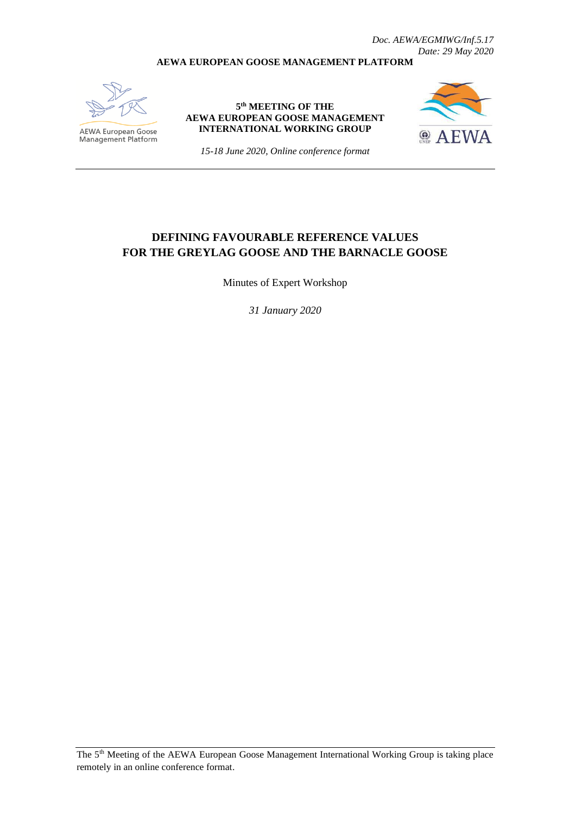*Doc. AEWA/EGMIWG/Inf.5.17 Date: 29 May 2020*

#### **AEWA EUROPEAN GOOSE MANAGEMENT PLATFORM**



**AEWA European Goose**<br>Management Platform

**5 th MEETING OF THE AEWA EUROPEAN GOOSE MANAGEMENT INTERNATIONAL WORKING GROUP**



*15-18 June 2020, Online conference format*

### **DEFINING FAVOURABLE REFERENCE VALUES FOR THE GREYLAG GOOSE AND THE BARNACLE GOOSE**

Minutes of Expert Workshop

*31 January 2020*

The 5th Meeting of the AEWA European Goose Management International Working Group is taking place remotely in an online conference format.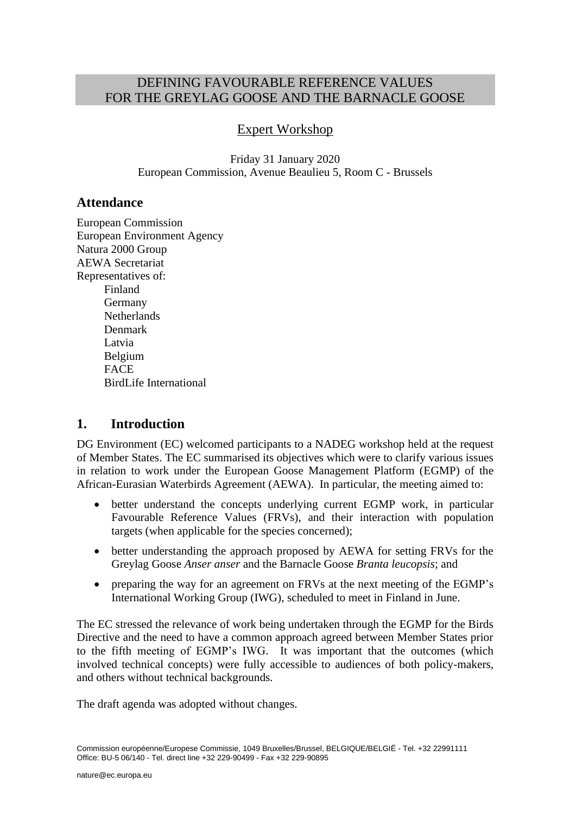# DEFINING FAVOURABLE REFERENCE VALUES FOR THE GREYLAG GOOSE AND THE BARNACLE GOOSE

# Expert Workshop

Friday 31 January 2020 European Commission, Avenue Beaulieu 5, Room C - Brussels

### **Attendance**

European Commission European Environment Agency Natura 2000 Group AEWA Secretariat Representatives of: Finland Germany **Netherlands** Denmark Latvia Belgium **FACE** BirdLife International

### **1. Introduction**

DG Environment (EC) welcomed participants to a NADEG workshop held at the request of Member States. The EC summarised its objectives which were to clarify various issues in relation to work under the European Goose Management Platform (EGMP) of the African-Eurasian Waterbirds Agreement (AEWA). In particular, the meeting aimed to:

- better understand the concepts underlying current EGMP work, in particular Favourable Reference Values (FRVs), and their interaction with population targets (when applicable for the species concerned);
- better understanding the approach proposed by AEWA for setting FRVs for the Greylag Goose *Anser anser* and the Barnacle Goose *Branta leucopsis*; and
- preparing the way for an agreement on FRVs at the next meeting of the EGMP's International Working Group (IWG), scheduled to meet in Finland in June.

The EC stressed the relevance of work being undertaken through the EGMP for the Birds Directive and the need to have a common approach agreed between Member States prior to the fifth meeting of EGMP's IWG. It was important that the outcomes (which involved technical concepts) were fully accessible to audiences of both policy-makers, and others without technical backgrounds.

The draft agenda was adopted without changes.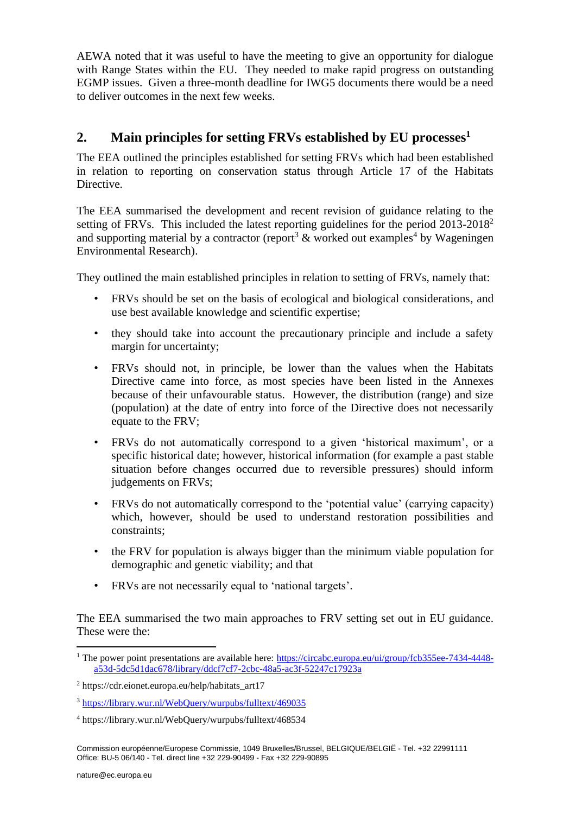AEWA noted that it was useful to have the meeting to give an opportunity for dialogue with Range States within the EU. They needed to make rapid progress on outstanding EGMP issues. Given a three-month deadline for IWG5 documents there would be a need to deliver outcomes in the next few weeks.

# **2. Main principles for setting FRVs established by EU processes<sup>1</sup>**

The EEA outlined the principles established for setting FRVs which had been established in relation to reporting on conservation status through Article 17 of the Habitats Directive.

The EEA summarised the development and recent revision of guidance relating to the setting of FRVs. This included the latest reporting guidelines for the period  $2013-2018^2$ and supporting material by a contractor (report<sup>3</sup> & worked out examples<sup>4</sup> by Wageningen Environmental Research).

They outlined the main established principles in relation to setting of FRVs, namely that:

- FRVs should be set on the basis of ecological and biological considerations, and use best available knowledge and scientific expertise;
- they should take into account the precautionary principle and include a safety margin for uncertainty;
- FRVs should not, in principle, be lower than the values when the Habitats Directive came into force, as most species have been listed in the Annexes because of their unfavourable status. However, the distribution (range) and size (population) at the date of entry into force of the Directive does not necessarily equate to the FRV;
- FRVs do not automatically correspond to a given 'historical maximum', or a specific historical date; however, historical information (for example a past stable situation before changes occurred due to reversible pressures) should inform judgements on FRVs;
- FRVs do not automatically correspond to the 'potential value' (carrying capacity) which, however, should be used to understand restoration possibilities and constraints;
- the FRV for population is always bigger than the minimum viable population for demographic and genetic viability; and that
- FRVs are not necessarily equal to 'national targets'.

The EEA summarised the two main approaches to FRV setting set out in EU guidance. These were the:

<sup>&</sup>lt;sup>1</sup> The power point presentations are available here: [https://circabc.europa.eu/ui/group/fcb355ee-7434-4448](https://circabc.europa.eu/ui/group/fcb355ee-7434-4448-a53d-5dc5d1dac678/library/ddcf7cf7-2cbc-48a5-ac3f-52247c17923a) [a53d-5dc5d1dac678/library/ddcf7cf7-2cbc-48a5-ac3f-52247c17923a](https://circabc.europa.eu/ui/group/fcb355ee-7434-4448-a53d-5dc5d1dac678/library/ddcf7cf7-2cbc-48a5-ac3f-52247c17923a)

<sup>2</sup> https://cdr.eionet.europa.eu/help/habitats\_art17

<sup>3</sup> <https://library.wur.nl/WebQuery/wurpubs/fulltext/469035>

<sup>4</sup> https://library.wur.nl/WebQuery/wurpubs/fulltext/468534

Commission européenne/Europese Commissie, 1049 Bruxelles/Brussel, BELGIQUE/BELGIË - Tel. +32 22991111 Office: BU-5 06/140 - Tel. direct line +32 229-90499 - Fax +32 229-90895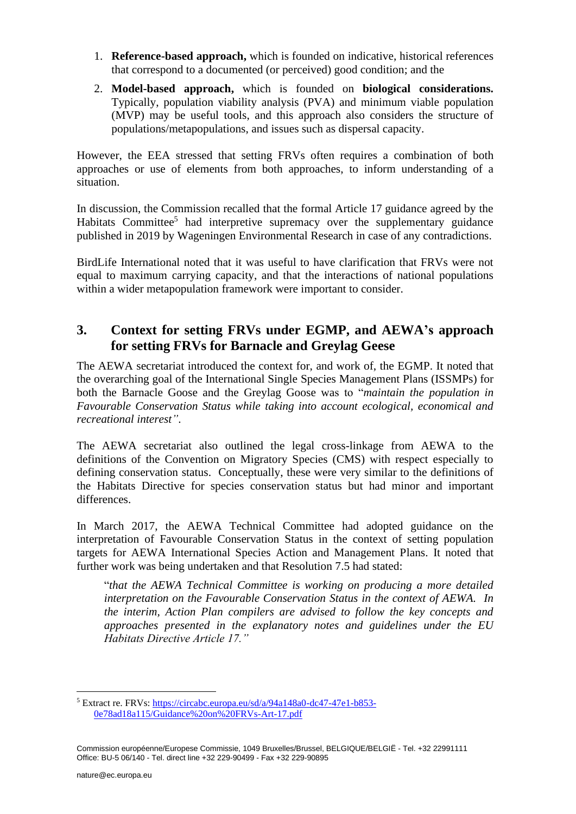- 1. **Reference-based approach,** which is founded on indicative, historical references that correspond to a documented (or perceived) good condition; and the
- 2. **Model-based approach,** which is founded on **biological considerations.**  Typically, population viability analysis (PVA) and minimum viable population (MVP) may be useful tools, and this approach also considers the structure of populations/metapopulations, and issues such as dispersal capacity.

However, the EEA stressed that setting FRVs often requires a combination of both approaches or use of elements from both approaches, to inform understanding of a situation.

In discussion, the Commission recalled that the formal Article 17 guidance agreed by the Habitats Committee<sup>5</sup> had interpretive supremacy over the supplementary guidance published in 2019 by Wageningen Environmental Research in case of any contradictions.

BirdLife International noted that it was useful to have clarification that FRVs were not equal to maximum carrying capacity, and that the interactions of national populations within a wider metapopulation framework were important to consider.

# **3. Context for setting FRVs under EGMP, and AEWA's approach for setting FRVs for Barnacle and Greylag Geese**

The AEWA secretariat introduced the context for, and work of, the EGMP. It noted that the overarching goal of the International Single Species Management Plans (ISSMPs) for both the Barnacle Goose and the Greylag Goose was to "*maintain the population in Favourable Conservation Status while taking into account ecological, economical and recreational interest"*.

The AEWA secretariat also outlined the legal cross-linkage from AEWA to the definitions of the Convention on Migratory Species (CMS) with respect especially to defining conservation status. Conceptually, these were very similar to the definitions of the Habitats Directive for species conservation status but had minor and important differences.

In March 2017, the AEWA Technical Committee had adopted guidance on the interpretation of Favourable Conservation Status in the context of setting population targets for AEWA International Species Action and Management Plans. It noted that further work was being undertaken and that Resolution 7.5 had stated:

"*that the AEWA Technical Committee is working on producing a more detailed interpretation on the Favourable Conservation Status in the context of AEWA. In the interim, Action Plan compilers are advised to follow the key concepts and approaches presented in the explanatory notes and guidelines under the EU Habitats Directive Article 17."*

<sup>5</sup> Extract re. FRVs: [https://circabc.europa.eu/sd/a/94a148a0-dc47-47e1-b853-](https://circabc.europa.eu/sd/a/94a148a0-dc47-47e1-b853-0e78ad18a115/Guidance%20on%20FRVs-Art-17.pdf) [0e78ad18a115/Guidance%20on%20FRVs-Art-17.pdf](https://circabc.europa.eu/sd/a/94a148a0-dc47-47e1-b853-0e78ad18a115/Guidance%20on%20FRVs-Art-17.pdf)

Commission européenne/Europese Commissie, 1049 Bruxelles/Brussel, BELGIQUE/BELGIË - Tel. +32 22991111 Office: BU-5 06/140 - Tel. direct line +32 229-90499 - Fax +32 229-90895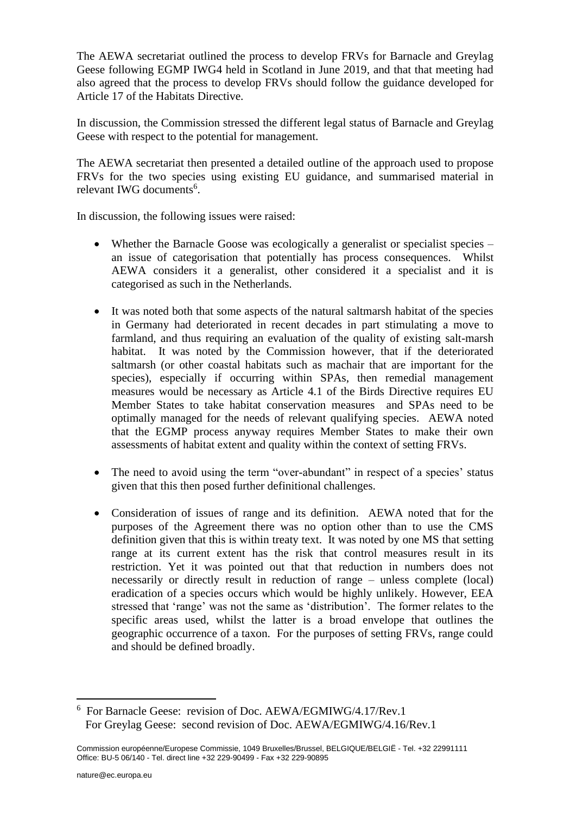The AEWA secretariat outlined the process to develop FRVs for Barnacle and Greylag Geese following EGMP IWG4 held in Scotland in June 2019, and that that meeting had also agreed that the process to develop FRVs should follow the guidance developed for Article 17 of the Habitats Directive.

In discussion, the Commission stressed the different legal status of Barnacle and Greylag Geese with respect to the potential for management.

The AEWA secretariat then presented a detailed outline of the approach used to propose FRVs for the two species using existing EU guidance, and summarised material in relevant IWG documents<sup>6</sup>.

In discussion, the following issues were raised:

- Whether the Barnacle Goose was ecologically a generalist or specialist species an issue of categorisation that potentially has process consequences. Whilst AEWA considers it a generalist, other considered it a specialist and it is categorised as such in the Netherlands.
- It was noted both that some aspects of the natural saltmarsh habitat of the species in Germany had deteriorated in recent decades in part stimulating a move to farmland, and thus requiring an evaluation of the quality of existing salt-marsh habitat. It was noted by the Commission however, that if the deteriorated saltmarsh (or other coastal habitats such as machair that are important for the species), especially if occurring within SPAs, then remedial management measures would be necessary as Article 4.1 of the Birds Directive requires EU Member States to take habitat conservation measures and SPAs need to be optimally managed for the needs of relevant qualifying species. AEWA noted that the EGMP process anyway requires Member States to make their own assessments of habitat extent and quality within the context of setting FRVs.
- The need to avoid using the term "over-abundant" in respect of a species' status given that this then posed further definitional challenges.
- Consideration of issues of range and its definition. AEWA noted that for the purposes of the Agreement there was no option other than to use the CMS definition given that this is within treaty text. It was noted by one MS that setting range at its current extent has the risk that control measures result in its restriction. Yet it was pointed out that that reduction in numbers does not necessarily or directly result in reduction of range – unless complete (local) eradication of a species occurs which would be highly unlikely. However, EEA stressed that 'range' was not the same as 'distribution'. The former relates to the specific areas used, whilst the latter is a broad envelope that outlines the geographic occurrence of a taxon. For the purposes of setting FRVs, range could and should be defined broadly.

<sup>6</sup> For Barnacle Geese: revision of Doc. AEWA/EGMIWG/4.17/Rev.1 For Greylag Geese: second revision of Doc. AEWA/EGMIWG/4.16/Rev.1

Commission européenne/Europese Commissie, 1049 Bruxelles/Brussel, BELGIQUE/BELGIË - Tel. +32 22991111 Office: BU-5 06/140 - Tel. direct line +32 229-90499 - Fax +32 229-90895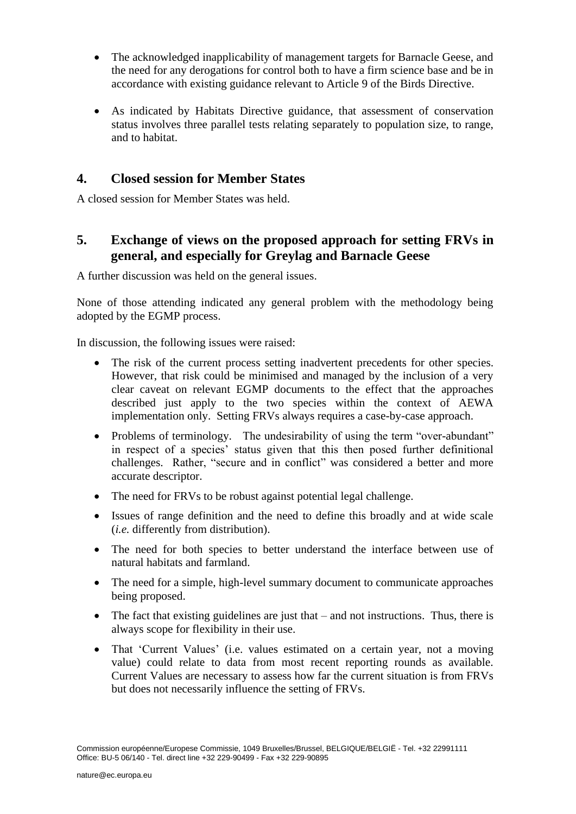- The acknowledged inapplicability of management targets for Barnacle Geese, and the need for any derogations for control both to have a firm science base and be in accordance with existing guidance relevant to Article 9 of the Birds Directive.
- As indicated by Habitats Directive guidance, that assessment of conservation status involves three parallel tests relating separately to population size, to range, and to habitat.

### **4. Closed session for Member States**

A closed session for Member States was held.

# **5. Exchange of views on the proposed approach for setting FRVs in general, and especially for Greylag and Barnacle Geese**

A further discussion was held on the general issues.

None of those attending indicated any general problem with the methodology being adopted by the EGMP process.

In discussion, the following issues were raised:

- The risk of the current process setting inadvertent precedents for other species. However, that risk could be minimised and managed by the inclusion of a very clear caveat on relevant EGMP documents to the effect that the approaches described just apply to the two species within the context of AEWA implementation only. Setting FRVs always requires a case-by-case approach.
- Problems of terminology. The undesirability of using the term "over-abundant" in respect of a species' status given that this then posed further definitional challenges. Rather, "secure and in conflict" was considered a better and more accurate descriptor.
- The need for FRVs to be robust against potential legal challenge.
- Issues of range definition and the need to define this broadly and at wide scale (*i.e.* differently from distribution).
- The need for both species to better understand the interface between use of natural habitats and farmland.
- The need for a simple, high-level summary document to communicate approaches being proposed.
- The fact that existing guidelines are just that and not instructions. Thus, there is always scope for flexibility in their use.
- That 'Current Values' (i.e. values estimated on a certain year, not a moving value) could relate to data from most recent reporting rounds as available. Current Values are necessary to assess how far the current situation is from FRVs but does not necessarily influence the setting of FRVs.

Commission européenne/Europese Commissie, 1049 Bruxelles/Brussel, BELGIQUE/BELGIË - Tel. +32 22991111 Office: BU-5 06/140 - Tel. direct line +32 229-90499 - Fax +32 229-90895